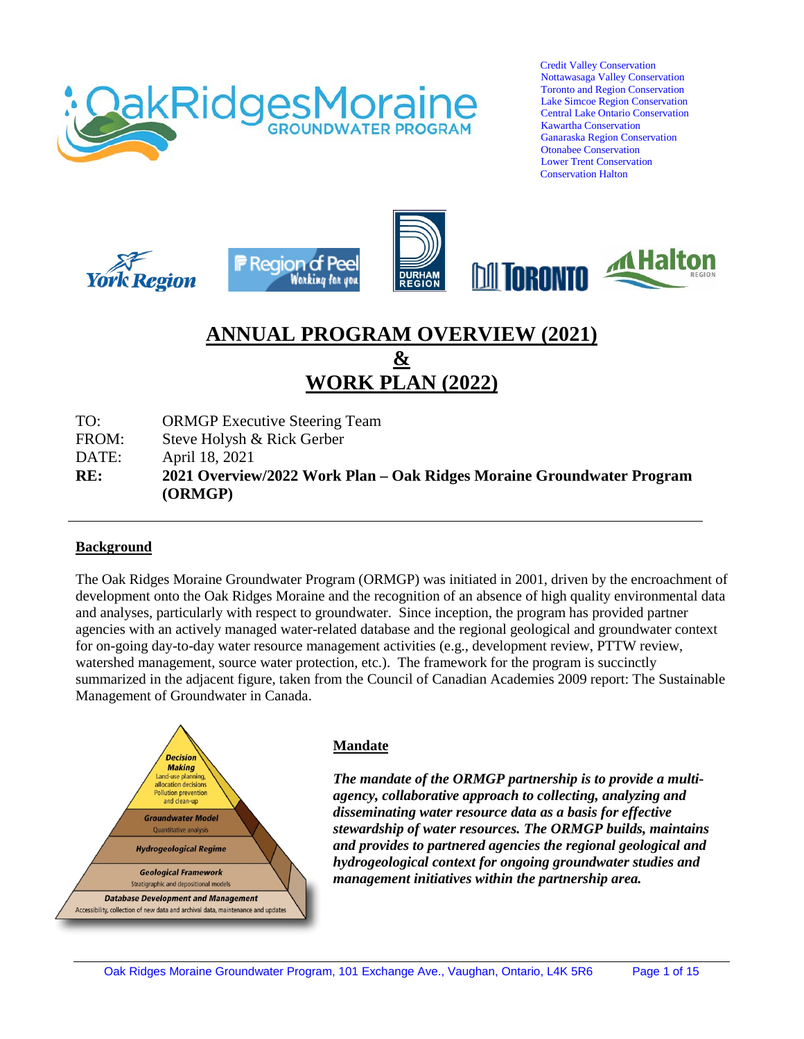

 Credit Valley Conservation Nottawasaga Valley Conservation Toronto and Region Conservation Lake Simcoe Region Conservation Central Lake Ontario Conservation Kawartha Conservation Ganaraska Region Conservation Otonabee Conservation Lower Trent Conservation Conservation Halton



# **ANNUAL PROGRAM OVERVIEW (2021) & WORK PLAN (2022)**

TO: ORMGP Executive Steering Team

FROM: Steve Holysh & Rick Gerber

DATE: April 18, 2021

**RE: 2021 Overview/2022 Work Plan – Oak Ridges Moraine Groundwater Program (ORMGP)**

#### **Background**

The Oak Ridges Moraine Groundwater Program (ORMGP) was initiated in 2001, driven by the encroachment of development onto the Oak Ridges Moraine and the recognition of an absence of high quality environmental data and analyses, particularly with respect to groundwater. Since inception, the program has provided partner agencies with an actively managed water-related database and the regional geological and groundwater context for on-going day-to-day water resource management activities (e.g., development review, PTTW review, watershed management, source water protection, etc.). The framework for the program is succinctly summarized in the adjacent figure, taken from the Council of Canadian Academies 2009 report: The Sustainable Management of Groundwater in Canada.



#### **Mandate**

*The mandate of the ORMGP partnership is to provide a multiagency, collaborative approach to collecting, analyzing and disseminating water resource data as a basis for effective stewardship of water resources. The ORMGP builds, maintains and provides to partnered agencies the regional geological and hydrogeological context for ongoing groundwater studies and management initiatives within the partnership area.*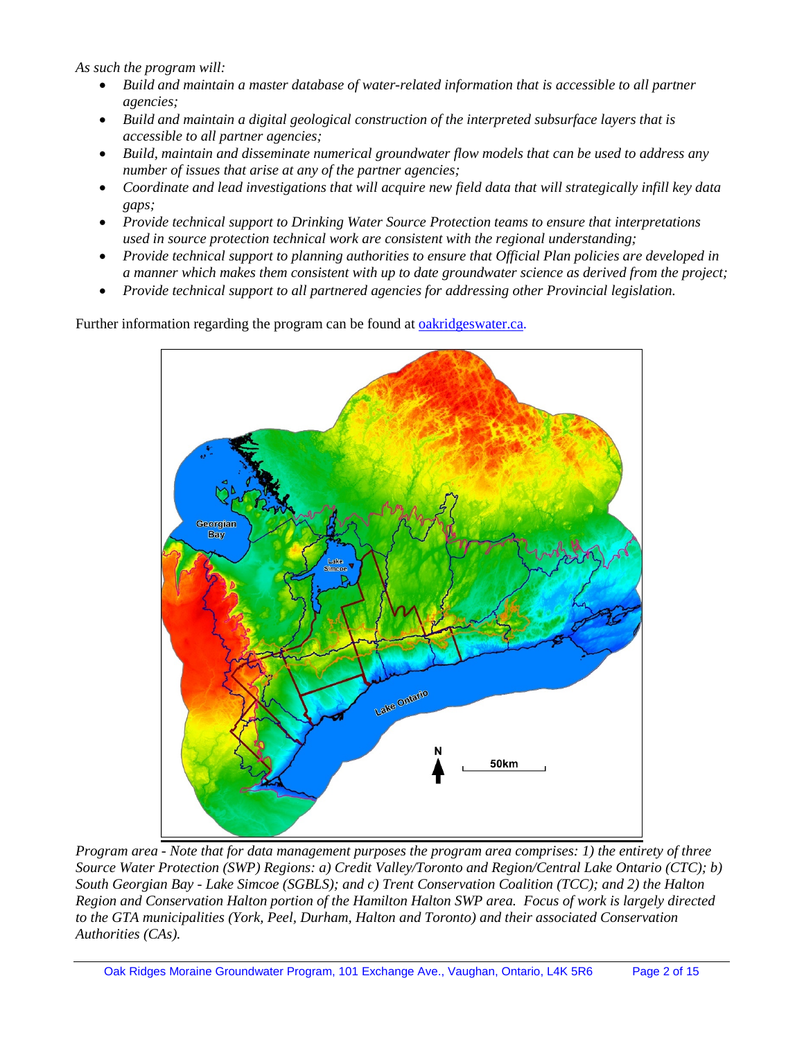*As such the program will:* 

- Build and maintain a master database of water-related information that is accessible to all partner *agencies;*
- *Build and maintain a digital geological construction of the interpreted subsurface layers that is accessible to all partner agencies;*
- *Build, maintain and disseminate numerical groundwater flow models that can be used to address any number of issues that arise at any of the partner agencies;*
- *Coordinate and lead investigations that will acquire new field data that will strategically infill key data gaps;*
- *Provide technical support to Drinking Water Source Protection teams to ensure that interpretations used in source protection technical work are consistent with the regional understanding;*
- *Provide technical support to planning authorities to ensure that Official Plan policies are developed in a manner which makes them consistent with up to date groundwater science as derived from the project;*
- *Provide technical support to all partnered agencies for addressing other Provincial legislation.*

Further information regarding the program can be found at **oakridgeswater.ca**.



*Program area - Note that for data management purposes the program area comprises: 1) the entirety of three Source Water Protection (SWP) Regions: a) Credit Valley/Toronto and Region/Central Lake Ontario (CTC); b) South Georgian Bay - Lake Simcoe (SGBLS); and c) Trent Conservation Coalition (TCC); and 2) the Halton Region and Conservation Halton portion of the Hamilton Halton SWP area. Focus of work is largely directed to the GTA municipalities (York, Peel, Durham, Halton and Toronto) and their associated Conservation Authorities (CAs).*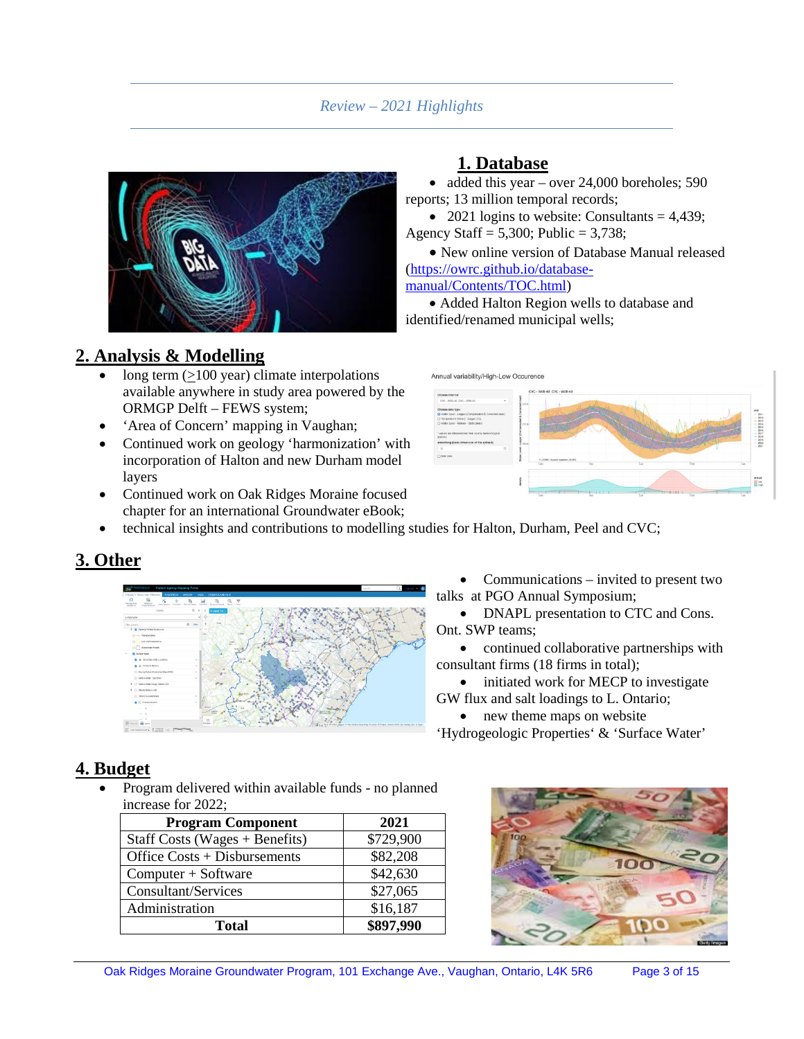## *Review – 2021 Highlights*

**1. Database**

Annual variability/High-Low Occurence

• added this year – over 24,000 boreholes; 590

• 2021 logins to website: Consultants =  $4,439$ ;

• Added Halton Region wells to database and

• New online version of Database Manual released



## **2. Analysis & Modelling**

- long term  $(≥100$  year) climate interpolations available anywhere in study area powered by the ORMGP Delft – FEWS system;
- 'Area of Concern' mapping in Vaughan;
- Continued work on geology 'harmonization' with incorporation of Halton and new Durham model layers
- Continued work on Oak Ridges Moraine focused chapter for an international Groundwater eBook;
- technical insights and contributions to modelling studies for Halton, Durham, Peel and CVC;

## **3. Other**



Communications – invited to present two talks at PGO Annual Symposium;

• DNAPL presentation to CTC and Cons. Ont. SWP teams;

• continued collaborative partnerships with consultant firms (18 firms in total);

• initiated work for MECP to investigate GW flux and salt loadings to L. Ontario;

• new theme maps on website

'Hydrogeologic Properties' & 'Surface Water'

## **4. Budget**

• Program delivered within available funds - no planned increase for 2022;

| <b>Program Component</b>         | 2021      |
|----------------------------------|-----------|
| Staff Costs (Wages $+$ Benefits) | \$729,900 |
| Office Costs + Disbursements     | \$82,208  |
| Computer + Software              | \$42,630  |
| Consultant/Services              | \$27,065  |
| Administration                   | \$16,187  |
| <b>Total</b>                     | \$897,990 |



E in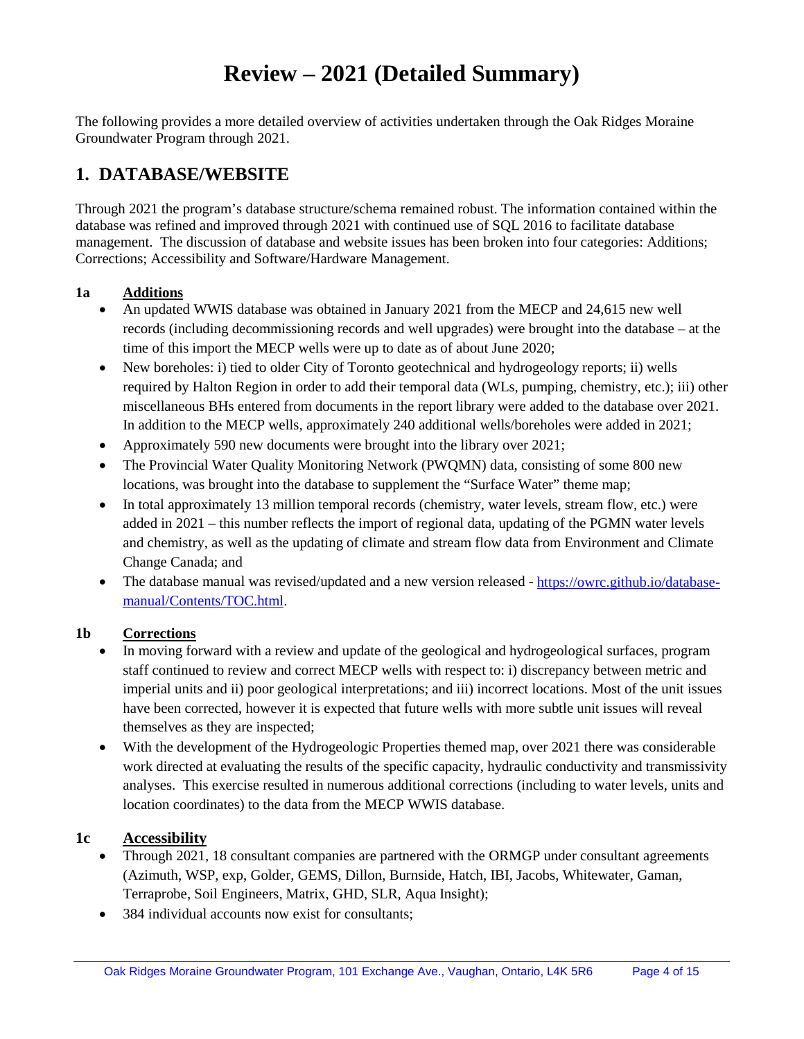# **Review – 2021 (Detailed Summary)**

The following provides a more detailed overview of activities undertaken through the Oak Ridges Moraine Groundwater Program through 2021.

## **1. DATABASE/WEBSITE**

Through 2021 the program's database structure/schema remained robust. The information contained within the database was refined and improved through 2021 with continued use of SQL 2016 to facilitate database management. The discussion of database and website issues has been broken into four categories: Additions; Corrections; Accessibility and Software/Hardware Management.

#### **1a Additions**

- An updated WWIS database was obtained in January 2021 from the MECP and 24,615 new well records (including decommissioning records and well upgrades) were brought into the database – at the time of this import the MECP wells were up to date as of about June 2020;
- New boreholes: i) tied to older City of Toronto geotechnical and hydrogeology reports; ii) wells required by Halton Region in order to add their temporal data (WLs, pumping, chemistry, etc.); iii) other miscellaneous BHs entered from documents in the report library were added to the database over 2021. In addition to the MECP wells, approximately 240 additional wells/boreholes were added in 2021;
- Approximately 590 new documents were brought into the library over 2021;
- The Provincial Water Quality Monitoring Network (PWQMN) data, consisting of some 800 new locations, was brought into the database to supplement the "Surface Water" theme map;
- In total approximately 13 million temporal records (chemistry, water levels, stream flow, etc.) were added in 2021 – this number reflects the import of regional data, updating of the PGMN water levels and chemistry, as well as the updating of climate and stream flow data from Environment and Climate Change Canada; and
- The database manual was revised/updated and a new version released [https://owrc.github.io/database](https://owrc.github.io/database-manual/Contents/TOC.html)[manual/Contents/TOC.html.](https://owrc.github.io/database-manual/Contents/TOC.html)

#### **1b Corrections**

- In moving forward with a review and update of the geological and hydrogeological surfaces, program staff continued to review and correct MECP wells with respect to: i) discrepancy between metric and imperial units and ii) poor geological interpretations; and iii) incorrect locations. Most of the unit issues have been corrected, however it is expected that future wells with more subtle unit issues will reveal themselves as they are inspected;
- With the development of the Hydrogeologic Properties themed map, over 2021 there was considerable work directed at evaluating the results of the specific capacity, hydraulic conductivity and transmissivity analyses. This exercise resulted in numerous additional corrections (including to water levels, units and location coordinates) to the data from the MECP WWIS database.

## **1c Accessibility**

- Through 2021, 18 consultant companies are partnered with the ORMGP under consultant agreements (Azimuth, WSP, exp, Golder, GEMS, Dillon, Burnside, Hatch, IBI, Jacobs, Whitewater, Gaman, Terraprobe, Soil Engineers, Matrix, GHD, SLR, Aqua Insight);
- 384 individual accounts now exist for consultants: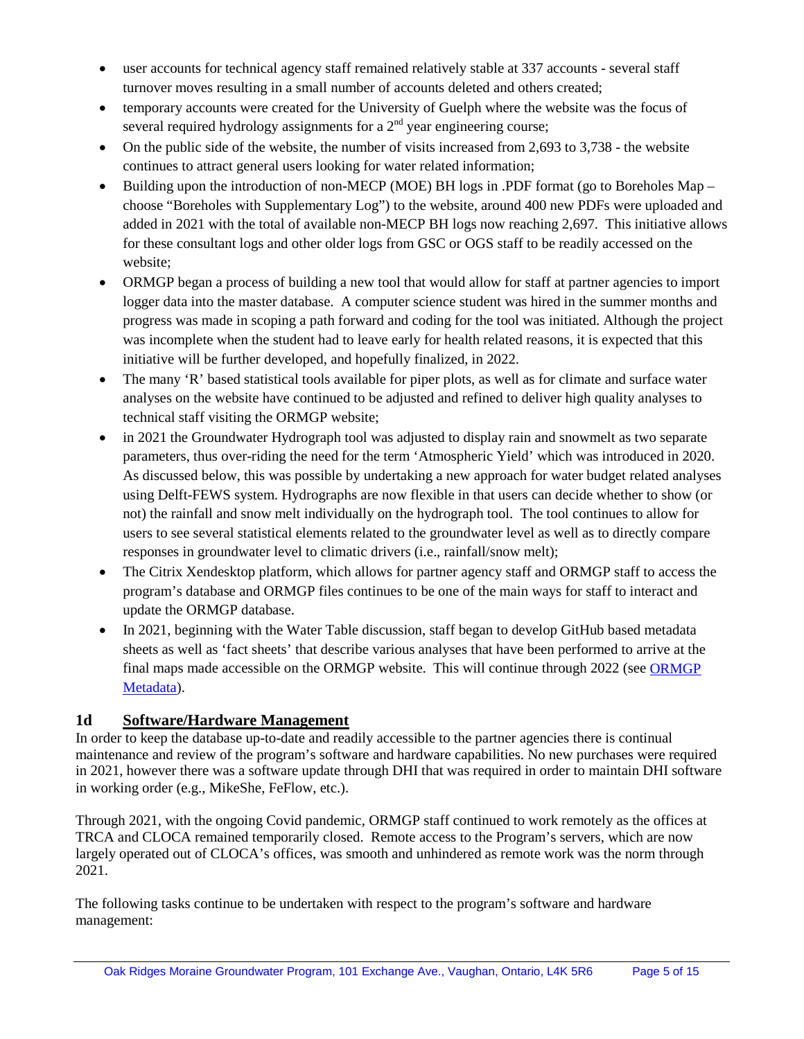- user accounts for technical agency staff remained relatively stable at 337 accounts several staff turnover moves resulting in a small number of accounts deleted and others created;
- temporary accounts were created for the University of Guelph where the website was the focus of several required hydrology assignments for a  $2<sup>nd</sup>$  year engineering course;
- On the public side of the website, the number of visits increased from 2,693 to 3,738 the website continues to attract general users looking for water related information;
- Building upon the introduction of non-MECP (MOE) BH logs in .PDF format (go to Boreholes Map choose "Boreholes with Supplementary Log") to the website, around 400 new PDFs were uploaded and added in 2021 with the total of available non-MECP BH logs now reaching 2,697. This initiative allows for these consultant logs and other older logs from GSC or OGS staff to be readily accessed on the website;
- ORMGP began a process of building a new tool that would allow for staff at partner agencies to import logger data into the master database. A computer science student was hired in the summer months and progress was made in scoping a path forward and coding for the tool was initiated. Although the project was incomplete when the student had to leave early for health related reasons, it is expected that this initiative will be further developed, and hopefully finalized, in 2022.
- The many 'R' based statistical tools available for piper plots, as well as for climate and surface water analyses on the website have continued to be adjusted and refined to deliver high quality analyses to technical staff visiting the ORMGP website;
- in 2021 the Groundwater Hydrograph tool was adjusted to display rain and snowmelt as two separate parameters, thus over-riding the need for the term 'Atmospheric Yield' which was introduced in 2020. As discussed below, this was possible by undertaking a new approach for water budget related analyses using Delft-FEWS system. Hydrographs are now flexible in that users can decide whether to show (or not) the rainfall and snow melt individually on the hydrograph tool. The tool continues to allow for users to see several statistical elements related to the groundwater level as well as to directly compare responses in groundwater level to climatic drivers (i.e., rainfall/snow melt);
- The Citrix Xendesktop platform, which allows for partner agency staff and ORMGP staff to access the program's database and ORMGP files continues to be one of the main ways for staff to interact and update the ORMGP database.
- In 2021, beginning with the Water Table discussion, staff began to develop GitHub based metadata sheets as well as 'fact sheets' that describe various analyses that have been performed to arrive at the final maps made accessible on the ORMGP website. This will continue through 2022 (see [ORMGP](https://owrc.github.io/database-manual/Appendices/M_ORMGP_Links/M_ORMGP_Links.html)  [Metadata\)](https://owrc.github.io/database-manual/Appendices/M_ORMGP_Links/M_ORMGP_Links.html).

## **1d Software/Hardware Management**

In order to keep the database up-to-date and readily accessible to the partner agencies there is continual maintenance and review of the program's software and hardware capabilities. No new purchases were required in 2021, however there was a software update through DHI that was required in order to maintain DHI software in working order (e.g., MikeShe, FeFlow, etc.).

Through 2021, with the ongoing Covid pandemic, ORMGP staff continued to work remotely as the offices at TRCA and CLOCA remained temporarily closed. Remote access to the Program's servers, which are now largely operated out of CLOCA's offices, was smooth and unhindered as remote work was the norm through 2021.

The following tasks continue to be undertaken with respect to the program's software and hardware management: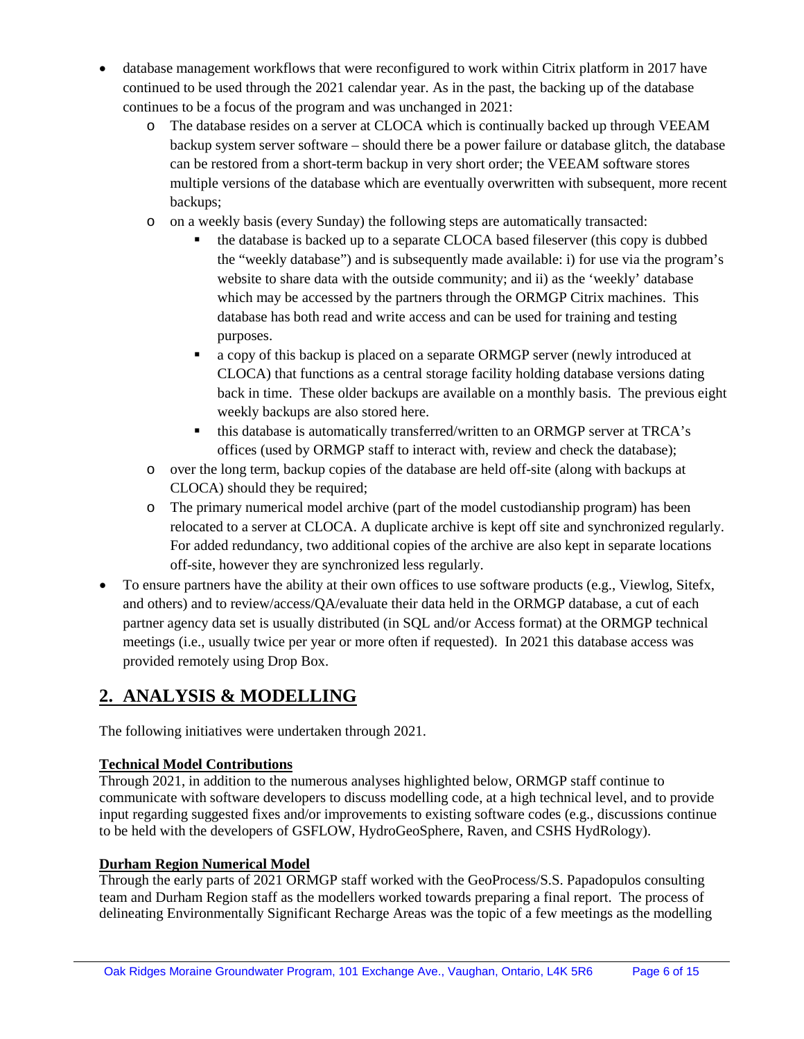- database management workflows that were reconfigured to work within Citrix platform in 2017 have continued to be used through the 2021 calendar year. As in the past, the backing up of the database continues to be a focus of the program and was unchanged in 2021:
	- o The database resides on a server at CLOCA which is continually backed up through VEEAM backup system server software – should there be a power failure or database glitch, the database can be restored from a short-term backup in very short order; the VEEAM software stores multiple versions of the database which are eventually overwritten with subsequent, more recent backups;
	- o on a weekly basis (every Sunday) the following steps are automatically transacted:
		- the database is backed up to a separate CLOCA based fileserver (this copy is dubbed the "weekly database") and is subsequently made available: i) for use via the program's website to share data with the outside community; and ii) as the 'weekly' database which may be accessed by the partners through the ORMGP Citrix machines. This database has both read and write access and can be used for training and testing purposes.
		- a copy of this backup is placed on a separate ORMGP server (newly introduced at CLOCA) that functions as a central storage facility holding database versions dating back in time. These older backups are available on a monthly basis. The previous eight weekly backups are also stored here.
		- this database is automatically transferred/written to an ORMGP server at TRCA's offices (used by ORMGP staff to interact with, review and check the database);
	- o over the long term, backup copies of the database are held off-site (along with backups at CLOCA) should they be required;
	- o The primary numerical model archive (part of the model custodianship program) has been relocated to a server at CLOCA. A duplicate archive is kept off site and synchronized regularly. For added redundancy, two additional copies of the archive are also kept in separate locations off-site, however they are synchronized less regularly.
- To ensure partners have the ability at their own offices to use software products (e.g., Viewlog, Sitefx, and others) and to review/access/QA/evaluate their data held in the ORMGP database, a cut of each partner agency data set is usually distributed (in SQL and/or Access format) at the ORMGP technical meetings (i.e., usually twice per year or more often if requested). In 2021 this database access was provided remotely using Drop Box.

## **2. ANALYSIS & MODELLING**

The following initiatives were undertaken through 2021.

## **Technical Model Contributions**

Through 2021, in addition to the numerous analyses highlighted below, ORMGP staff continue to communicate with software developers to discuss modelling code, at a high technical level, and to provide input regarding suggested fixes and/or improvements to existing software codes (e.g., discussions continue to be held with the developers of GSFLOW, HydroGeoSphere, Raven, and CSHS HydRology).

#### **Durham Region Numerical Model**

Through the early parts of 2021 ORMGP staff worked with the GeoProcess/S.S. Papadopulos consulting team and Durham Region staff as the modellers worked towards preparing a final report. The process of delineating Environmentally Significant Recharge Areas was the topic of a few meetings as the modelling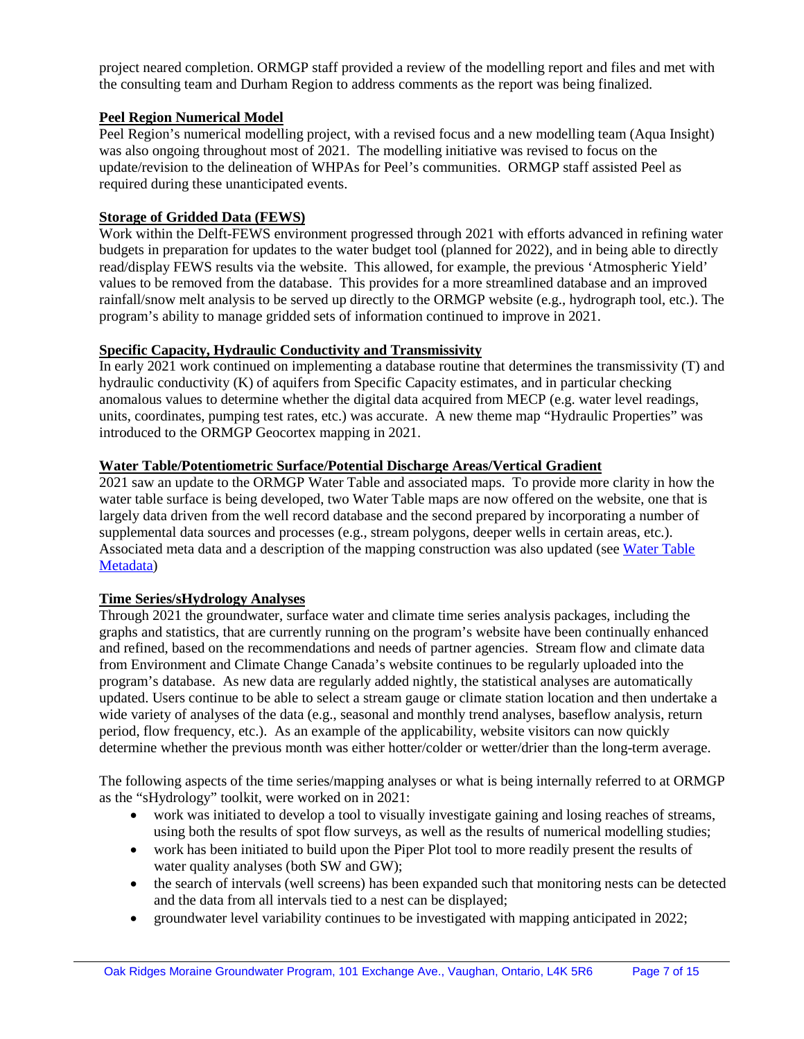project neared completion. ORMGP staff provided a review of the modelling report and files and met with the consulting team and Durham Region to address comments as the report was being finalized.

#### **Peel Region Numerical Model**

Peel Region's numerical modelling project, with a revised focus and a new modelling team (Aqua Insight) was also ongoing throughout most of 2021. The modelling initiative was revised to focus on the update/revision to the delineation of WHPAs for Peel's communities. ORMGP staff assisted Peel as required during these unanticipated events.

#### **Storage of Gridded Data (FEWS)**

Work within the Delft-FEWS environment progressed through 2021 with efforts advanced in refining water budgets in preparation for updates to the water budget tool (planned for 2022), and in being able to directly read/display FEWS results via the website. This allowed, for example, the previous 'Atmospheric Yield' values to be removed from the database. This provides for a more streamlined database and an improved rainfall/snow melt analysis to be served up directly to the ORMGP website (e.g., hydrograph tool, etc.). The program's ability to manage gridded sets of information continued to improve in 2021.

#### **Specific Capacity, Hydraulic Conductivity and Transmissivity**

In early 2021 work continued on implementing a database routine that determines the transmissivity (T) and hydraulic conductivity (K) of aquifers from Specific Capacity estimates, and in particular checking anomalous values to determine whether the digital data acquired from MECP (e.g. water level readings, units, coordinates, pumping test rates, etc.) was accurate. A new theme map "Hydraulic Properties" was introduced to the ORMGP Geocortex mapping in 2021.

#### **Water Table/Potentiometric Surface/Potential Discharge Areas/Vertical Gradient**

2021 saw an update to the ORMGP Water Table and associated maps. To provide more clarity in how the water table surface is being developed, two Water Table maps are now offered on the website, one that is largely data driven from the well record database and the second prepared by incorporating a number of supplemental data sources and processes (e.g., stream polygons, deeper wells in certain areas, etc.). Associated meta data and a description of the mapping construction was also updated (see [Water Table](https://owrc.github.io/metadata/surfaces/water_table.html)  [Metadata\)](https://owrc.github.io/metadata/surfaces/water_table.html)

#### **Time Series/sHydrology Analyses**

Through 2021 the groundwater, surface water and climate time series analysis packages, including the graphs and statistics, that are currently running on the program's website have been continually enhanced and refined, based on the recommendations and needs of partner agencies. Stream flow and climate data from Environment and Climate Change Canada's website continues to be regularly uploaded into the program's database. As new data are regularly added nightly, the statistical analyses are automatically updated. Users continue to be able to select a stream gauge or climate station location and then undertake a wide variety of analyses of the data (e.g., seasonal and monthly trend analyses, baseflow analysis, return period, flow frequency, etc.). As an example of the applicability, website visitors can now quickly determine whether the previous month was either hotter/colder or wetter/drier than the long-term average.

The following aspects of the time series/mapping analyses or what is being internally referred to at ORMGP as the "sHydrology" toolkit, were worked on in 2021:

- work was initiated to develop a tool to visually investigate gaining and losing reaches of streams, using both the results of spot flow surveys, as well as the results of numerical modelling studies;
- work has been initiated to build upon the Piper Plot tool to more readily present the results of water quality analyses (both SW and GW);
- the search of intervals (well screens) has been expanded such that monitoring nests can be detected and the data from all intervals tied to a nest can be displayed;
- groundwater level variability continues to be investigated with mapping anticipated in 2022;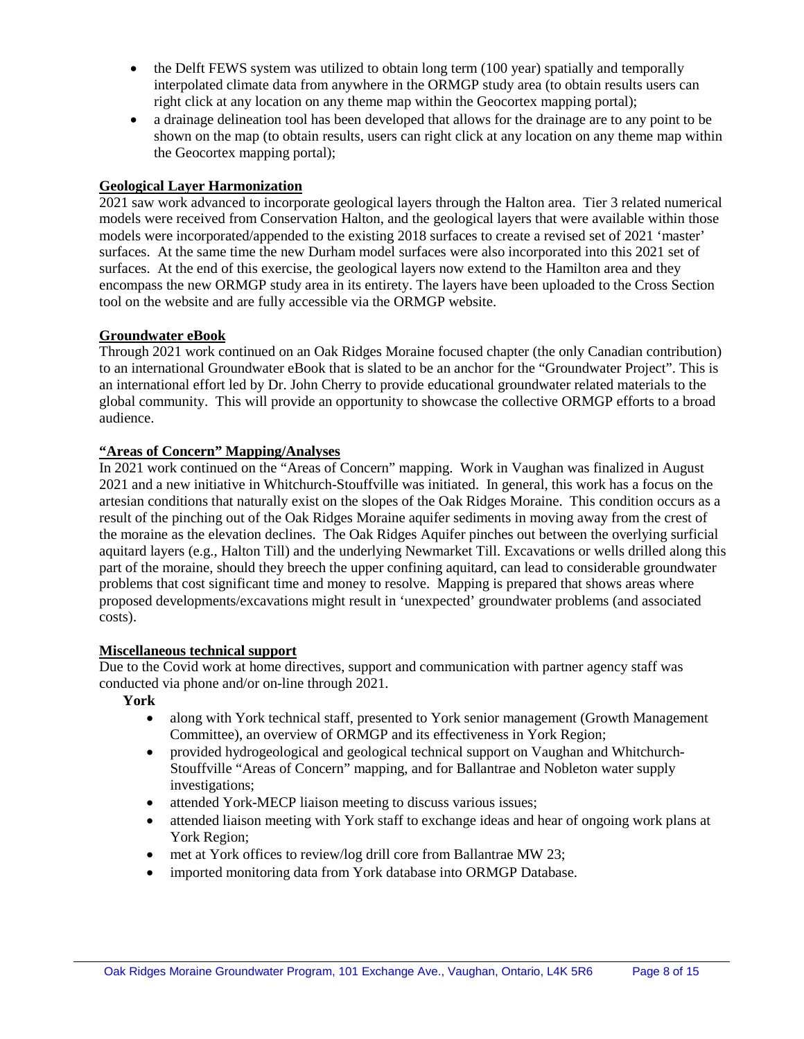- the Delft FEWS system was utilized to obtain long term (100 year) spatially and temporally interpolated climate data from anywhere in the ORMGP study area (to obtain results users can right click at any location on any theme map within the Geocortex mapping portal);
- a drainage delineation tool has been developed that allows for the drainage are to any point to be shown on the map (to obtain results, users can right click at any location on any theme map within the Geocortex mapping portal);

#### **Geological Layer Harmonization**

2021 saw work advanced to incorporate geological layers through the Halton area. Tier 3 related numerical models were received from Conservation Halton, and the geological layers that were available within those models were incorporated/appended to the existing 2018 surfaces to create a revised set of 2021 'master' surfaces. At the same time the new Durham model surfaces were also incorporated into this 2021 set of surfaces. At the end of this exercise, the geological layers now extend to the Hamilton area and they encompass the new ORMGP study area in its entirety. The layers have been uploaded to the Cross Section tool on the website and are fully accessible via the ORMGP website.

#### **Groundwater eBook**

Through 2021 work continued on an Oak Ridges Moraine focused chapter (the only Canadian contribution) to an international Groundwater eBook that is slated to be an anchor for the "Groundwater Project". This is an international effort led by Dr. John Cherry to provide educational groundwater related materials to the global community. This will provide an opportunity to showcase the collective ORMGP efforts to a broad audience.

#### **"Areas of Concern" Mapping/Analyses**

In 2021 work continued on the "Areas of Concern" mapping. Work in Vaughan was finalized in August 2021 and a new initiative in Whitchurch-Stouffville was initiated. In general, this work has a focus on the artesian conditions that naturally exist on the slopes of the Oak Ridges Moraine. This condition occurs as a result of the pinching out of the Oak Ridges Moraine aquifer sediments in moving away from the crest of the moraine as the elevation declines. The Oak Ridges Aquifer pinches out between the overlying surficial aquitard layers (e.g., Halton Till) and the underlying Newmarket Till. Excavations or wells drilled along this part of the moraine, should they breech the upper confining aquitard, can lead to considerable groundwater problems that cost significant time and money to resolve. Mapping is prepared that shows areas where proposed developments/excavations might result in 'unexpected' groundwater problems (and associated costs).

#### **Miscellaneous technical support**

Due to the Covid work at home directives, support and communication with partner agency staff was conducted via phone and/or on-line through 2021.

**York**

- along with York technical staff, presented to York senior management (Growth Management Committee), an overview of ORMGP and its effectiveness in York Region;
- provided hydrogeological and geological technical support on Vaughan and Whitchurch-Stouffville "Areas of Concern" mapping, and for Ballantrae and Nobleton water supply investigations;
- attended York-MECP liaison meeting to discuss various issues;
- attended liaison meeting with York staff to exchange ideas and hear of ongoing work plans at York Region;
- met at York offices to review/log drill core from Ballantrae MW 23;
- imported monitoring data from York database into ORMGP Database.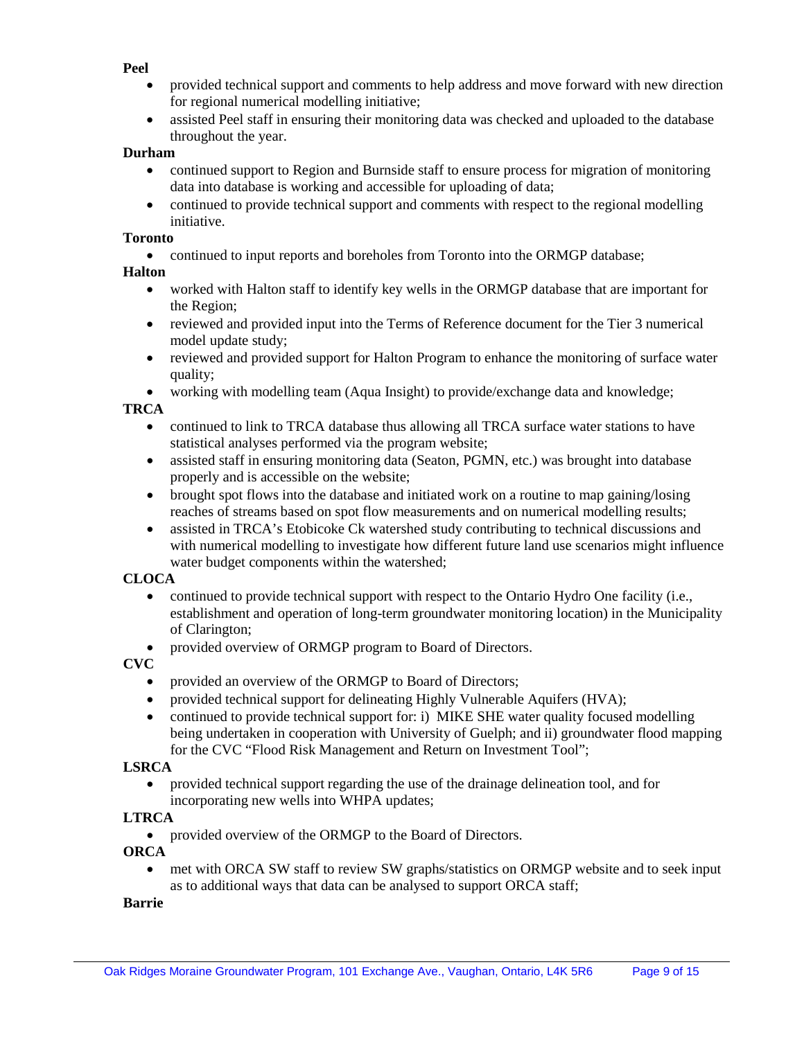#### **Peel**

- provided technical support and comments to help address and move forward with new direction for regional numerical modelling initiative;
- assisted Peel staff in ensuring their monitoring data was checked and uploaded to the database throughout the year.

#### **Durham**

- continued support to Region and Burnside staff to ensure process for migration of monitoring data into database is working and accessible for uploading of data;
- continued to provide technical support and comments with respect to the regional modelling initiative.

#### **Toronto**

• continued to input reports and boreholes from Toronto into the ORMGP database;

#### **Halton**

- worked with Halton staff to identify key wells in the ORMGP database that are important for the Region;
- reviewed and provided input into the Terms of Reference document for the Tier 3 numerical model update study;
- reviewed and provided support for Halton Program to enhance the monitoring of surface water quality;
- working with modelling team (Aqua Insight) to provide/exchange data and knowledge;

#### **TRCA**

- continued to link to TRCA database thus allowing all TRCA surface water stations to have statistical analyses performed via the program website;
- assisted staff in ensuring monitoring data (Seaton, PGMN, etc.) was brought into database properly and is accessible on the website;
- brought spot flows into the database and initiated work on a routine to map gaining/losing reaches of streams based on spot flow measurements and on numerical modelling results;
- assisted in TRCA's Etobicoke Ck watershed study contributing to technical discussions and with numerical modelling to investigate how different future land use scenarios might influence water budget components within the watershed;

#### **CLOCA**

- continued to provide technical support with respect to the Ontario Hydro One facility (i.e., establishment and operation of long-term groundwater monitoring location) in the Municipality of Clarington;
- provided overview of ORMGP program to Board of Directors.

#### **CVC**

- provided an overview of the ORMGP to Board of Directors;
- provided technical support for delineating Highly Vulnerable Aquifers (HVA);
- continued to provide technical support for: i) MIKE SHE water quality focused modelling being undertaken in cooperation with University of Guelph; and ii) groundwater flood mapping for the CVC "Flood Risk Management and Return on Investment Tool";

#### **LSRCA**

• provided technical support regarding the use of the drainage delineation tool, and for incorporating new wells into WHPA updates;

#### **LTRCA**

• provided overview of the ORMGP to the Board of Directors.

#### **ORCA**

• met with ORCA SW staff to review SW graphs/statistics on ORMGP website and to seek input as to additional ways that data can be analysed to support ORCA staff;

#### **Barrie**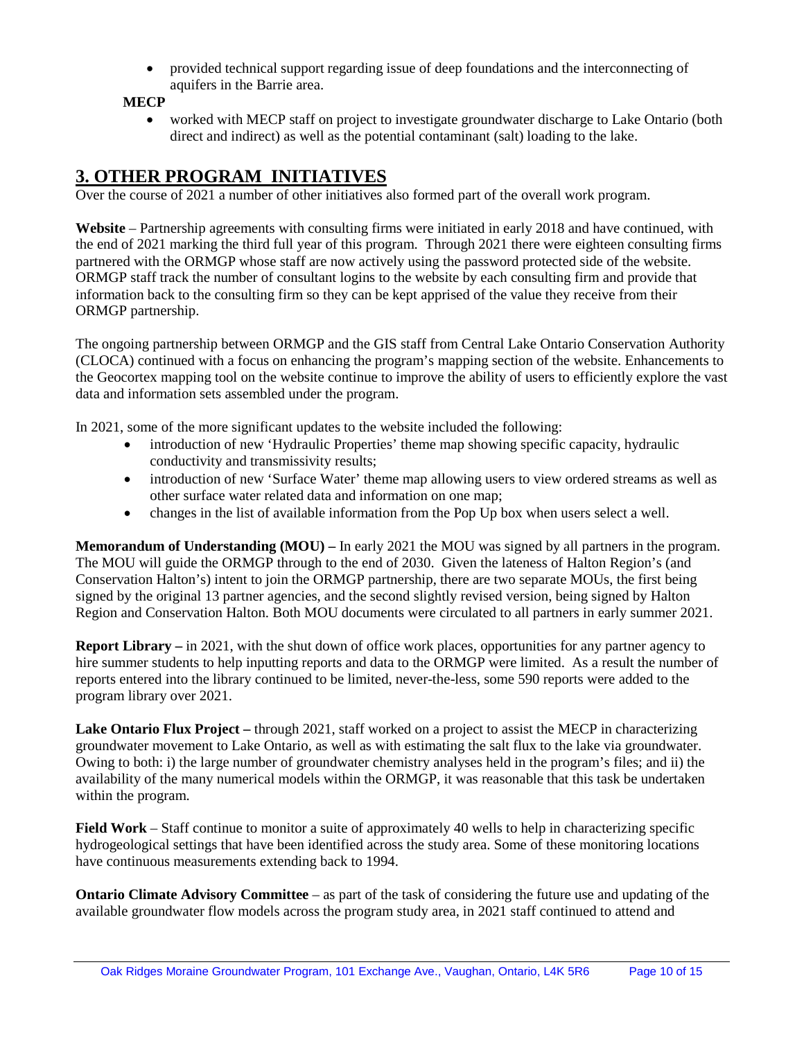• provided technical support regarding issue of deep foundations and the interconnecting of aquifers in the Barrie area.

**MECP**

• worked with MECP staff on project to investigate groundwater discharge to Lake Ontario (both direct and indirect) as well as the potential contaminant (salt) loading to the lake.

## **3. OTHER PROGRAM INITIATIVES**

Over the course of 2021 a number of other initiatives also formed part of the overall work program.

**Website** – Partnership agreements with consulting firms were initiated in early 2018 and have continued, with the end of 2021 marking the third full year of this program. Through 2021 there were eighteen consulting firms partnered with the ORMGP whose staff are now actively using the password protected side of the website. ORMGP staff track the number of consultant logins to the website by each consulting firm and provide that information back to the consulting firm so they can be kept apprised of the value they receive from their ORMGP partnership.

The ongoing partnership between ORMGP and the GIS staff from Central Lake Ontario Conservation Authority (CLOCA) continued with a focus on enhancing the program's mapping section of the website. Enhancements to the Geocortex mapping tool on the website continue to improve the ability of users to efficiently explore the vast data and information sets assembled under the program.

In 2021, some of the more significant updates to the website included the following:

- introduction of new 'Hydraulic Properties' theme map showing specific capacity, hydraulic conductivity and transmissivity results;
- introduction of new 'Surface Water' theme map allowing users to view ordered streams as well as other surface water related data and information on one map;
- changes in the list of available information from the Pop Up box when users select a well.

**Memorandum of Understanding (MOU) –** In early 2021 the MOU was signed by all partners in the program. The MOU will guide the ORMGP through to the end of 2030. Given the lateness of Halton Region's (and Conservation Halton's) intent to join the ORMGP partnership, there are two separate MOUs, the first being signed by the original 13 partner agencies, and the second slightly revised version, being signed by Halton Region and Conservation Halton. Both MOU documents were circulated to all partners in early summer 2021.

**Report Library** – in 2021, with the shut down of office work places, opportunities for any partner agency to hire summer students to help inputting reports and data to the ORMGP were limited. As a result the number of reports entered into the library continued to be limited, never-the-less, some 590 reports were added to the program library over 2021.

**Lake Ontario Flux Project –** through 2021, staff worked on a project to assist the MECP in characterizing groundwater movement to Lake Ontario, as well as with estimating the salt flux to the lake via groundwater. Owing to both: i) the large number of groundwater chemistry analyses held in the program's files; and ii) the availability of the many numerical models within the ORMGP, it was reasonable that this task be undertaken within the program.

**Field Work** – Staff continue to monitor a suite of approximately 40 wells to help in characterizing specific hydrogeological settings that have been identified across the study area. Some of these monitoring locations have continuous measurements extending back to 1994.

**Ontario Climate Advisory Committee** – as part of the task of considering the future use and updating of the available groundwater flow models across the program study area, in 2021 staff continued to attend and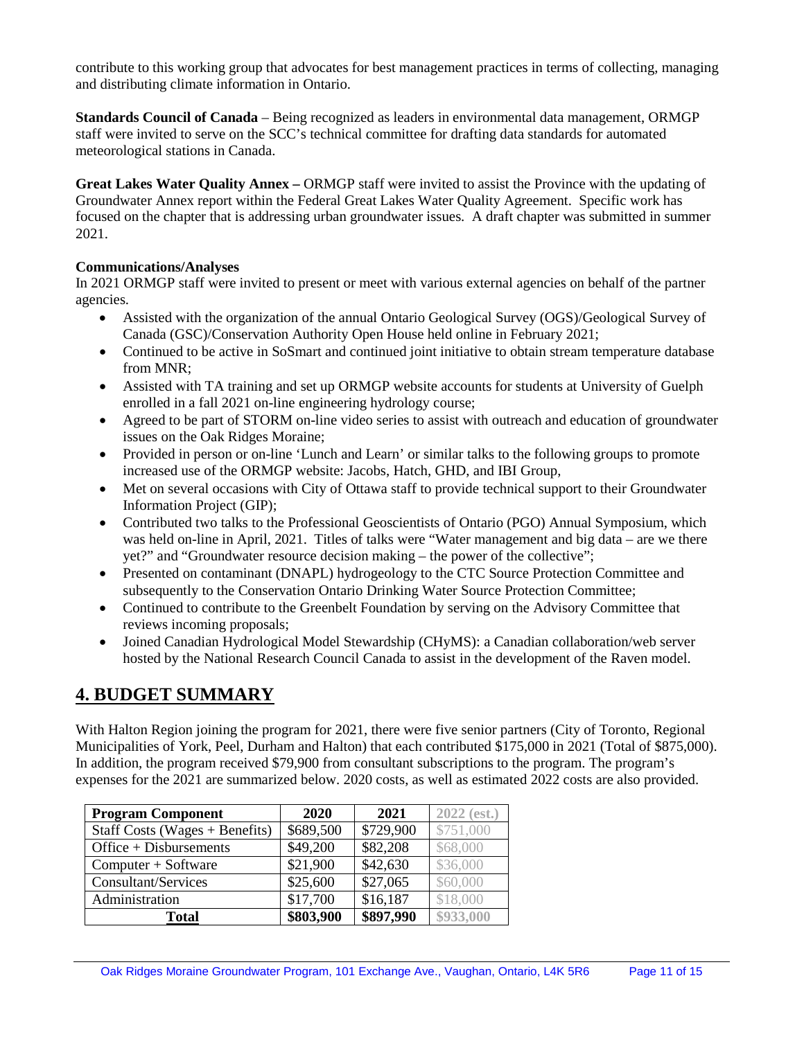contribute to this working group that advocates for best management practices in terms of collecting, managing and distributing climate information in Ontario.

**Standards Council of Canada** – Being recognized as leaders in environmental data management, ORMGP staff were invited to serve on the SCC's technical committee for drafting data standards for automated meteorological stations in Canada.

**Great Lakes Water Quality Annex –** ORMGP staff were invited to assist the Province with the updating of Groundwater Annex report within the Federal Great Lakes Water Quality Agreement. Specific work has focused on the chapter that is addressing urban groundwater issues. A draft chapter was submitted in summer 2021.

#### **Communications/Analyses**

In 2021 ORMGP staff were invited to present or meet with various external agencies on behalf of the partner agencies.

- Assisted with the organization of the annual Ontario Geological Survey (OGS)/Geological Survey of Canada (GSC)/Conservation Authority Open House held online in February 2021;
- Continued to be active in SoSmart and continued joint initiative to obtain stream temperature database from MNR;
- Assisted with TA training and set up ORMGP website accounts for students at University of Guelph enrolled in a fall 2021 on-line engineering hydrology course;
- Agreed to be part of STORM on-line video series to assist with outreach and education of groundwater issues on the Oak Ridges Moraine;
- Provided in person or on-line 'Lunch and Learn' or similar talks to the following groups to promote increased use of the ORMGP website: Jacobs, Hatch, GHD, and IBI Group,
- Met on several occasions with City of Ottawa staff to provide technical support to their Groundwater Information Project (GIP);
- Contributed two talks to the Professional Geoscientists of Ontario (PGO) Annual Symposium, which was held on-line in April, 2021. Titles of talks were "Water management and big data – are we there yet?" and "Groundwater resource decision making – the power of the collective";
- Presented on contaminant (DNAPL) hydrogeology to the CTC Source Protection Committee and subsequently to the Conservation Ontario Drinking Water Source Protection Committee;
- Continued to contribute to the Greenbelt Foundation by serving on the Advisory Committee that reviews incoming proposals;
- Joined Canadian Hydrological Model Stewardship (CHyMS): a Canadian collaboration/web server hosted by the National Research Council Canada to assist in the development of the Raven model.

## **4. BUDGET SUMMARY**

With Halton Region joining the program for 2021, there were five senior partners (City of Toronto, Regional Municipalities of York, Peel, Durham and Halton) that each contributed \$175,000 in 2021 (Total of \$875,000). In addition, the program received \$79,900 from consultant subscriptions to the program. The program's expenses for the 2021 are summarized below. 2020 costs, as well as estimated 2022 costs are also provided.

| <b>Program Component</b>         | 2020      | 2021      | $2022$ (est.) |
|----------------------------------|-----------|-----------|---------------|
| Staff Costs (Wages $+$ Benefits) | \$689,500 | \$729,900 | \$751,000     |
| $Office + Disbursements$         | \$49,200  | \$82,208  | \$68,000      |
| Computer + Software              | \$21,900  | \$42,630  | \$36,000      |
| Consultant/Services              | \$25,600  | \$27,065  | \$60,000      |
| Administration                   | \$17,700  | \$16,187  | \$18,000      |
| Total                            | \$803,900 | \$897,990 | \$933,000     |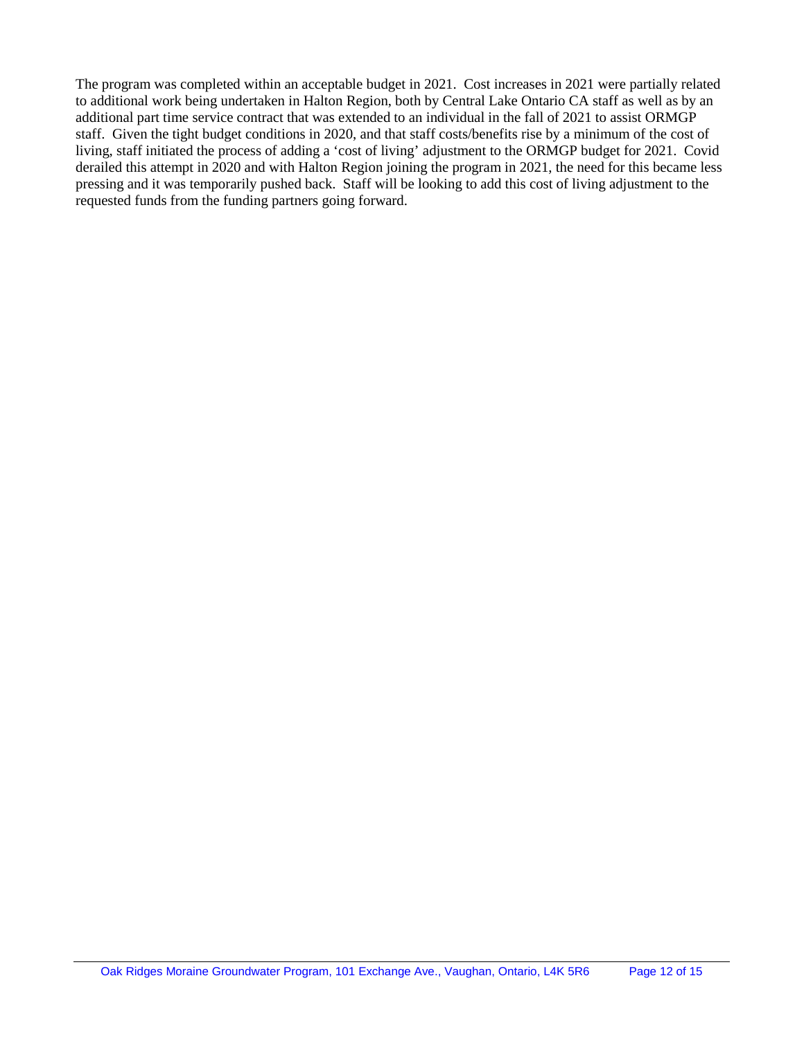The program was completed within an acceptable budget in 2021. Cost increases in 2021 were partially related to additional work being undertaken in Halton Region, both by Central Lake Ontario CA staff as well as by an additional part time service contract that was extended to an individual in the fall of 2021 to assist ORMGP staff. Given the tight budget conditions in 2020, and that staff costs/benefits rise by a minimum of the cost of living, staff initiated the process of adding a 'cost of living' adjustment to the ORMGP budget for 2021. Covid derailed this attempt in 2020 and with Halton Region joining the program in 2021, the need for this became less pressing and it was temporarily pushed back. Staff will be looking to add this cost of living adjustment to the requested funds from the funding partners going forward.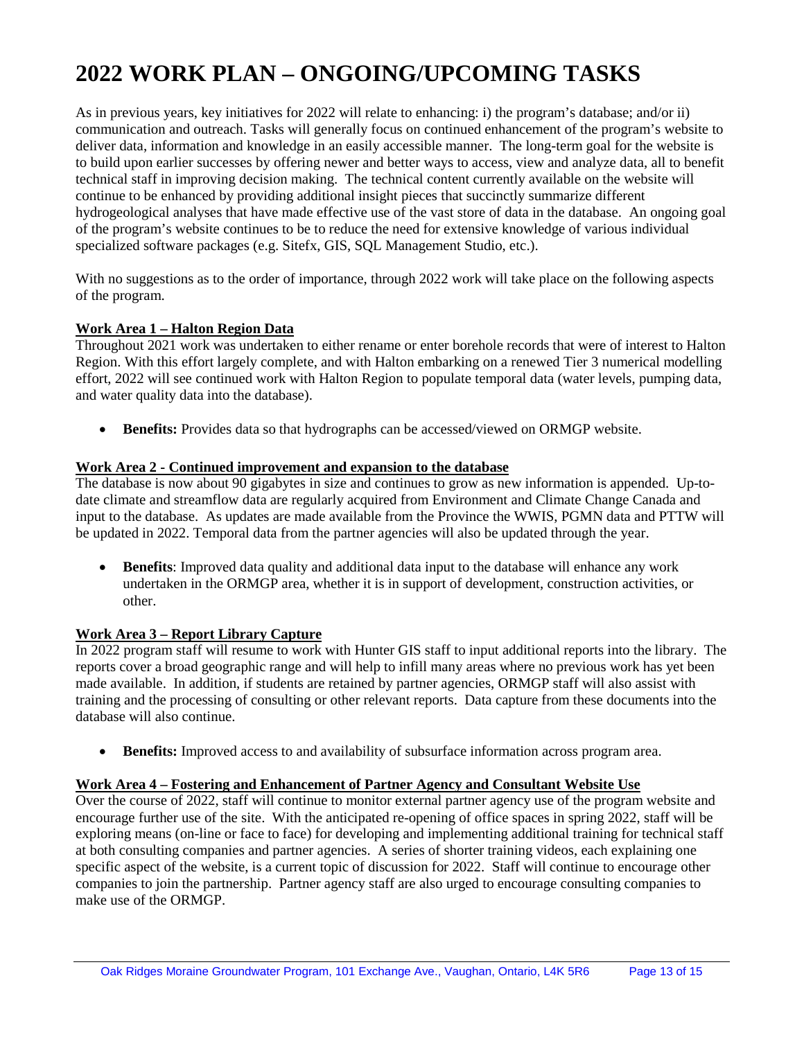# **2022 WORK PLAN – ONGOING/UPCOMING TASKS**

As in previous years, key initiatives for 2022 will relate to enhancing: i) the program's database; and/or ii) communication and outreach. Tasks will generally focus on continued enhancement of the program's website to deliver data, information and knowledge in an easily accessible manner. The long-term goal for the website is to build upon earlier successes by offering newer and better ways to access, view and analyze data, all to benefit technical staff in improving decision making. The technical content currently available on the website will continue to be enhanced by providing additional insight pieces that succinctly summarize different hydrogeological analyses that have made effective use of the vast store of data in the database. An ongoing goal of the program's website continues to be to reduce the need for extensive knowledge of various individual specialized software packages (e.g. Sitefx, GIS, SQL Management Studio, etc.).

With no suggestions as to the order of importance, through 2022 work will take place on the following aspects of the program.

#### **Work Area 1 – Halton Region Data**

Throughout 2021 work was undertaken to either rename or enter borehole records that were of interest to Halton Region. With this effort largely complete, and with Halton embarking on a renewed Tier 3 numerical modelling effort, 2022 will see continued work with Halton Region to populate temporal data (water levels, pumping data, and water quality data into the database).

• **Benefits:** Provides data so that hydrographs can be accessed/viewed on ORMGP website.

#### **Work Area 2 - Continued improvement and expansion to the database**

The database is now about 90 gigabytes in size and continues to grow as new information is appended. Up-todate climate and streamflow data are regularly acquired from Environment and Climate Change Canada and input to the database. As updates are made available from the Province the WWIS, PGMN data and PTTW will be updated in 2022. Temporal data from the partner agencies will also be updated through the year.

• **Benefits**: Improved data quality and additional data input to the database will enhance any work undertaken in the ORMGP area, whether it is in support of development, construction activities, or other.

#### **Work Area 3 – Report Library Capture**

In 2022 program staff will resume to work with Hunter GIS staff to input additional reports into the library. The reports cover a broad geographic range and will help to infill many areas where no previous work has yet been made available. In addition, if students are retained by partner agencies, ORMGP staff will also assist with training and the processing of consulting or other relevant reports. Data capture from these documents into the database will also continue.

• **Benefits:** Improved access to and availability of subsurface information across program area.

#### **Work Area 4 – Fostering and Enhancement of Partner Agency and Consultant Website Use**

Over the course of 2022, staff will continue to monitor external partner agency use of the program website and encourage further use of the site. With the anticipated re-opening of office spaces in spring 2022, staff will be exploring means (on-line or face to face) for developing and implementing additional training for technical staff at both consulting companies and partner agencies. A series of shorter training videos, each explaining one specific aspect of the website, is a current topic of discussion for 2022. Staff will continue to encourage other companies to join the partnership. Partner agency staff are also urged to encourage consulting companies to make use of the ORMGP.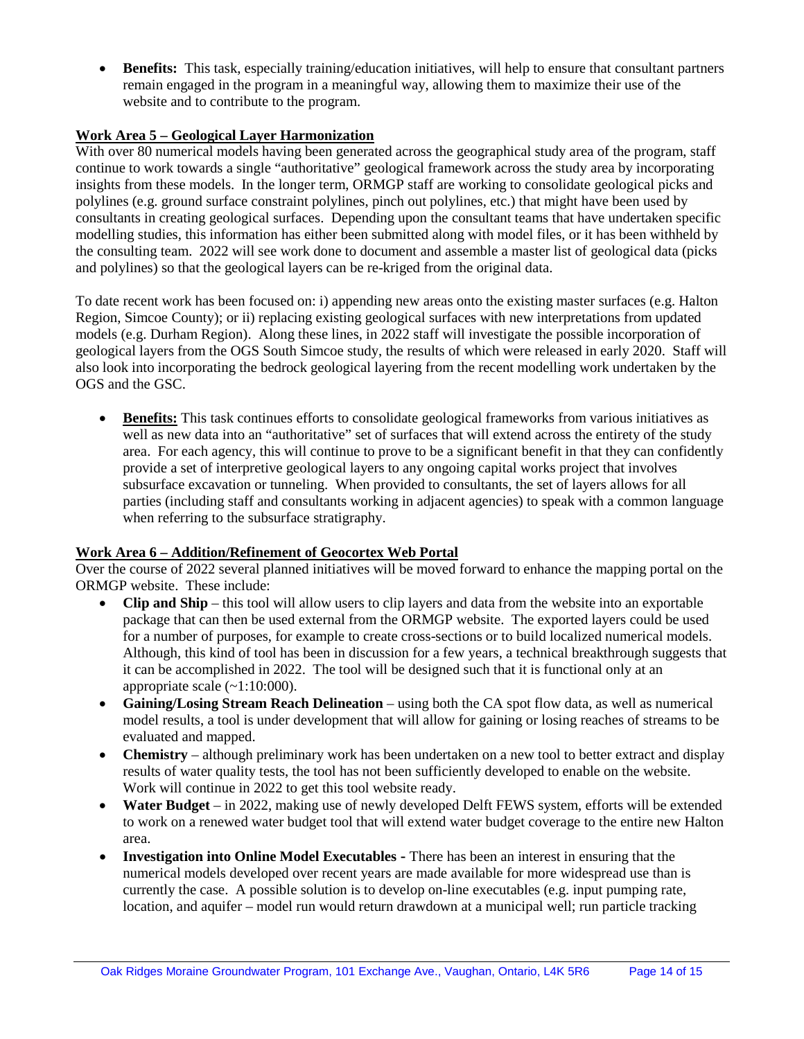• **Benefits:** This task, especially training/education initiatives, will help to ensure that consultant partners remain engaged in the program in a meaningful way, allowing them to maximize their use of the website and to contribute to the program.

#### **Work Area 5 – Geological Layer Harmonization**

With over 80 numerical models having been generated across the geographical study area of the program, staff continue to work towards a single "authoritative" geological framework across the study area by incorporating insights from these models. In the longer term, ORMGP staff are working to consolidate geological picks and polylines (e.g. ground surface constraint polylines, pinch out polylines, etc.) that might have been used by consultants in creating geological surfaces. Depending upon the consultant teams that have undertaken specific modelling studies, this information has either been submitted along with model files, or it has been withheld by the consulting team. 2022 will see work done to document and assemble a master list of geological data (picks and polylines) so that the geological layers can be re-kriged from the original data.

To date recent work has been focused on: i) appending new areas onto the existing master surfaces (e.g. Halton Region, Simcoe County); or ii) replacing existing geological surfaces with new interpretations from updated models (e.g. Durham Region). Along these lines, in 2022 staff will investigate the possible incorporation of geological layers from the OGS South Simcoe study, the results of which were released in early 2020. Staff will also look into incorporating the bedrock geological layering from the recent modelling work undertaken by the OGS and the GSC.

• **Benefits:** This task continues efforts to consolidate geological frameworks from various initiatives as well as new data into an "authoritative" set of surfaces that will extend across the entirety of the study area. For each agency, this will continue to prove to be a significant benefit in that they can confidently provide a set of interpretive geological layers to any ongoing capital works project that involves subsurface excavation or tunneling. When provided to consultants, the set of layers allows for all parties (including staff and consultants working in adjacent agencies) to speak with a common language when referring to the subsurface stratigraphy.

#### **Work Area 6 – Addition/Refinement of Geocortex Web Portal**

Over the course of 2022 several planned initiatives will be moved forward to enhance the mapping portal on the ORMGP website. These include:

- **Clip and Ship** this tool will allow users to clip layers and data from the website into an exportable package that can then be used external from the ORMGP website. The exported layers could be used for a number of purposes, for example to create cross-sections or to build localized numerical models. Although, this kind of tool has been in discussion for a few years, a technical breakthrough suggests that it can be accomplished in 2022. The tool will be designed such that it is functional only at an appropriate scale  $(-1:10:000)$ .
- **Gaining/Losing Stream Reach Delineation**  using both the CA spot flow data, as well as numerical model results, a tool is under development that will allow for gaining or losing reaches of streams to be evaluated and mapped.
- **Chemistry** although preliminary work has been undertaken on a new tool to better extract and display results of water quality tests, the tool has not been sufficiently developed to enable on the website. Work will continue in 2022 to get this tool website ready.
- Water Budget in 2022, making use of newly developed Delft FEWS system, efforts will be extended to work on a renewed water budget tool that will extend water budget coverage to the entire new Halton area.
- **Investigation into Online Model Executables -** There has been an interest in ensuring that the numerical models developed over recent years are made available for more widespread use than is currently the case. A possible solution is to develop on-line executables (e.g. input pumping rate, location, and aquifer – model run would return drawdown at a municipal well; run particle tracking